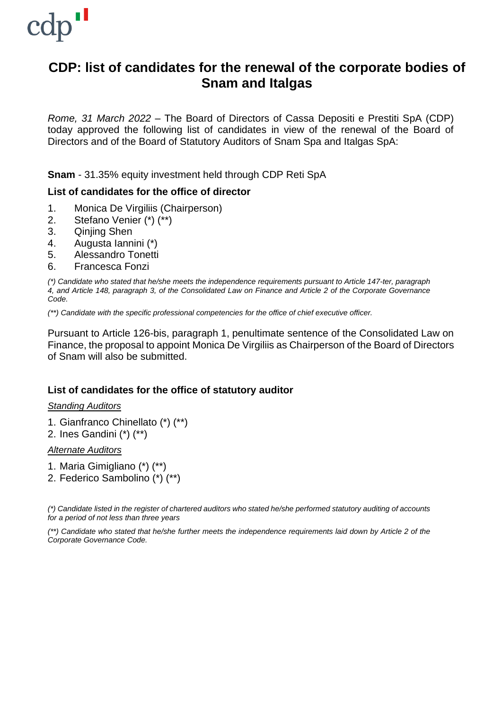

# **CDP: list of candidates for the renewal of the corporate bodies of Snam and Italgas**

*Rome, 31 March 2022* – The Board of Directors of Cassa Depositi e Prestiti SpA (CDP) today approved the following list of candidates in view of the renewal of the Board of Directors and of the Board of Statutory Auditors of Snam Spa and Italgas SpA:

**Snam** - 31.35% equity investment held through CDP Reti SpA

# **List of candidates for the office of director**

- 1. Monica De Virgiliis (Chairperson)
- 2. Stefano Venier (\*) (\*\*)
- 3. Qinjing Shen
- 4. Augusta Iannini (\*)
- 5. Alessandro Tonetti
- 6. Francesca Fonzi

*(\*) Candidate who stated that he/she meets the independence requirements pursuant to Article 147-ter, paragraph* 4, and Article 148, paragraph 3, of the Consolidated Law on Finance and Article 2 of the Corporate Governance *Code.*

*(\*\*) Candidate with the specific professional competencies for the office of chief executive officer.*

Pursuant to Article 126-bis, paragraph 1, penultimate sentence of the Consolidated Law on Finance, the proposal to appoint Monica De Virgiliis as Chairperson of the Board of Directors of Snam will also be submitted.

# **List of candidates for the office of statutory auditor**

#### *Standing Auditors*

- 1. Gianfranco Chinellato (\*) (\*\*)
- 2. Ines Gandini (\*) (\*\*)

#### *Alternate Auditors*

- 1. Maria Gimigliano (\*) (\*\*)
- 2. Federico Sambolino (\*) (\*\*)

(\*) Candidate listed in the register of chartered auditors who stated he/she performed statutory auditing of accounts *for a period of not less than three years*

(\*\*) Candidate who stated that he/she further meets the independence requirements laid down by Article 2 of the *Corporate Governance Code.*